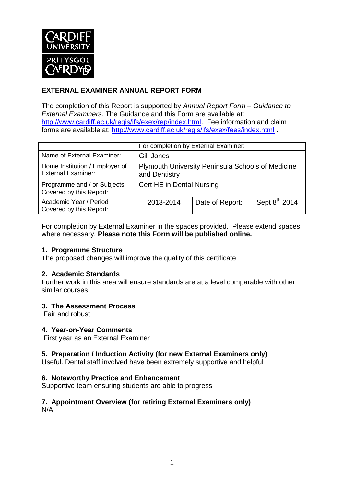

# **EXTERNAL EXAMINER ANNUAL REPORT FORM**

The completion of this Report is supported by *Annual Report Form – Guidance to External Examiners.* The Guidance and this Form are available at: [http://www.cardiff.ac.uk/regis/ifs/exex/rep/index.html.](http://www.cardiff.ac.uk/regis/ifs/exex/rep/index.html) Fee information and claim forms are available at:<http://www.cardiff.ac.uk/regis/ifs/exex/fees/index.html> .

|                                                             | For completion by External Examiner:                                      |                 |                           |  |  |
|-------------------------------------------------------------|---------------------------------------------------------------------------|-----------------|---------------------------|--|--|
| Name of External Examiner:                                  | Gill Jones                                                                |                 |                           |  |  |
| Home Institution / Employer of<br><b>External Examiner:</b> | <b>Plymouth University Peninsula Schools of Medicine</b><br>and Dentistry |                 |                           |  |  |
| Programme and / or Subjects<br>Covered by this Report:      | Cert HE in Dental Nursing                                                 |                 |                           |  |  |
| Academic Year / Period<br>Covered by this Report:           | 2013-2014                                                                 | Date of Report: | Sept 8 <sup>th</sup> 2014 |  |  |

For completion by External Examiner in the spaces provided. Please extend spaces where necessary. **Please note this Form will be published online.**

### **1. Programme Structure**

The proposed changes will improve the quality of this certificate

### **2. Academic Standards**

Further work in this area will ensure standards are at a level comparable with other similar courses

### **3. The Assessment Process**

Fair and robust

### **4. Year-on-Year Comments**

First year as an External Examiner

### **5. Preparation / Induction Activity (for new External Examiners only)**

Useful. Dental staff involved have been extremely supportive and helpful

### **6. Noteworthy Practice and Enhancement**

Supportive team ensuring students are able to progress

#### **7. Appointment Overview (for retiring External Examiners only)** N/A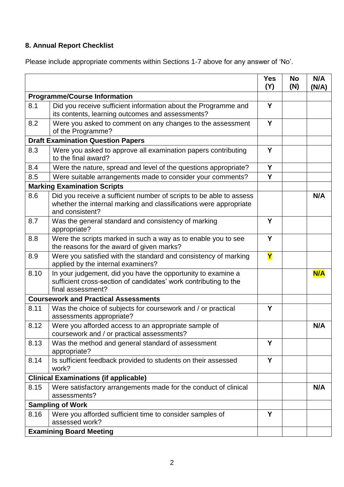# **8. Annual Report Checklist**

Please include appropriate comments within Sections 1-7 above for any answer of 'No'.

|                                              |                                                                                                                                                             | <b>Yes</b><br>(Y) | <b>No</b><br>(N) | N/A<br>(N/A) |
|----------------------------------------------|-------------------------------------------------------------------------------------------------------------------------------------------------------------|-------------------|------------------|--------------|
| <b>Programme/Course Information</b>          |                                                                                                                                                             |                   |                  |              |
| 8.1                                          | Did you receive sufficient information about the Programme and<br>its contents, learning outcomes and assessments?                                          | Y                 |                  |              |
| 8.2                                          | Were you asked to comment on any changes to the assessment<br>of the Programme?                                                                             | Y                 |                  |              |
| <b>Draft Examination Question Papers</b>     |                                                                                                                                                             |                   |                  |              |
| 8.3                                          | Were you asked to approve all examination papers contributing<br>to the final award?                                                                        | Y                 |                  |              |
| 8.4                                          | Were the nature, spread and level of the questions appropriate?                                                                                             | Y                 |                  |              |
| 8.5                                          | Were suitable arrangements made to consider your comments?                                                                                                  | Y                 |                  |              |
| <b>Marking Examination Scripts</b>           |                                                                                                                                                             |                   |                  |              |
| 8.6                                          | Did you receive a sufficient number of scripts to be able to assess<br>whether the internal marking and classifications were appropriate<br>and consistent? |                   |                  | N/A          |
| 8.7                                          | Was the general standard and consistency of marking<br>appropriate?                                                                                         | Y                 |                  |              |
| 8.8                                          | Were the scripts marked in such a way as to enable you to see<br>the reasons for the award of given marks?                                                  | Y                 |                  |              |
| 8.9                                          | Were you satisfied with the standard and consistency of marking<br>applied by the internal examiners?                                                       | Y                 |                  |              |
| 8.10                                         | In your judgement, did you have the opportunity to examine a<br>sufficient cross-section of candidates' work contributing to the<br>final assessment?       |                   |                  | N/A          |
| <b>Coursework and Practical Assessments</b>  |                                                                                                                                                             |                   |                  |              |
| 8.11                                         | Was the choice of subjects for coursework and / or practical<br>assessments appropriate?                                                                    | Y                 |                  |              |
| 8.12                                         | Were you afforded access to an appropriate sample of<br>coursework and / or practical assessments?                                                          |                   |                  | N/A          |
| 8.13                                         | Was the method and general standard of assessment<br>appropriate?                                                                                           | Y                 |                  |              |
| 8.14                                         | Is sufficient feedback provided to students on their assessed<br>work?                                                                                      | Y                 |                  |              |
| <b>Clinical Examinations (if applicable)</b> |                                                                                                                                                             |                   |                  |              |
| 8.15                                         | Were satisfactory arrangements made for the conduct of clinical<br>assessments?                                                                             |                   |                  | N/A          |
|                                              | <b>Sampling of Work</b>                                                                                                                                     |                   |                  |              |
| 8.16                                         | Were you afforded sufficient time to consider samples of<br>assessed work?                                                                                  | Y                 |                  |              |
|                                              | <b>Examining Board Meeting</b>                                                                                                                              |                   |                  |              |